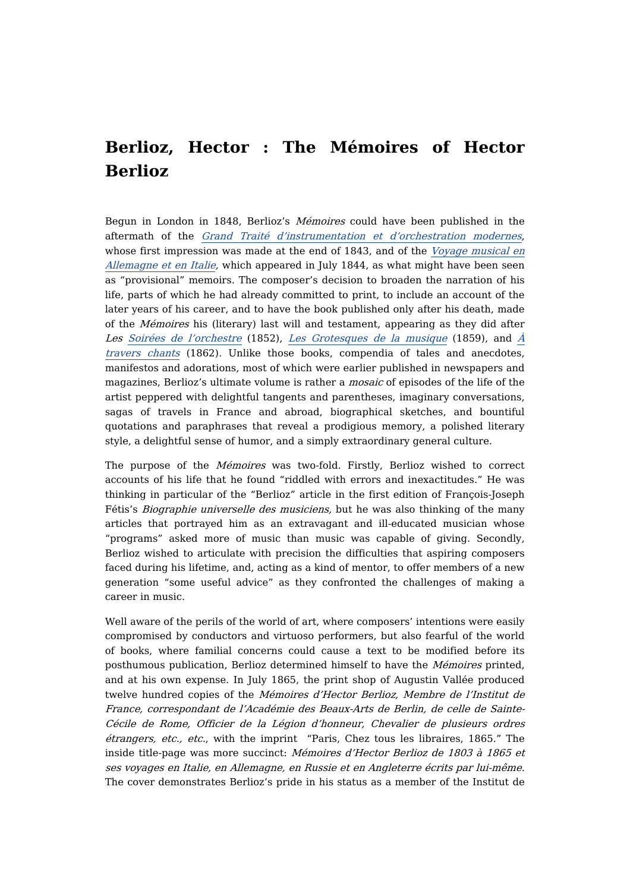## **Berlioz, Hector : The Mémoires of Hector Berlioz**

Begun in London in 1848, Berlioz's Mémoires could have been published in the aftermath of the Grand Traité [d'instrumentation](https://dicteco.huma-num.fr/fr/book/2007) et d'orchestration modernes, whose first [impression](https://dicteco.huma-num.fr/fr/book/1999) was made at the end of 1843, and of the *Voyage musical en* Allemagne et en Italie, which appeared in July 1844, as what might have been seen as "provisional" memoirs. The composer's decision to broaden the narration of his life, parts of which he had already committed to print, to include an account of the later years of his career, and to have the book published only after his death, made of the Mémoires his (literary) last will and testament, appearing as they did after Les Soirées de [l'orchestre](https://dicteco.huma-num.fr/fr/book/2013) (1852), Les [Grotesques](https://dicteco.huma-num.fr/fr/book/2017) de la musique (1859), and  $\dot{A}$ travers chants (1862). Unlike those books, compendia of tales and anecdotes, manifestos and adorations, most of which were earlier published in newspapers and magazines, Berlioz's ultimate volume is rather a mosaic of episodes of the life of the artist peppered with delightful tangents and parentheses, imaginary conversations, sagas of travels in France and abroad, biographical sketches, and bountiful quotations and paraphrases that reveal a prodigious memory, a polished literary style, a delightful sense of humor, and a simply extraordinary general culture.

The purpose of the *Mémoires* was two-fold. Firstly, Berlioz wished to correct accounts of his life that he found "riddled with errors and inexactitudes." He was thinking in particular of the "Berlioz" article in the first edition of François-Joseph Fétis's Biographie universelle des musiciens, but he was also thinking of the many articles that portrayed him as an extravagant and ill-educated musician whose "programs" asked more of music than music was capable of giving. Secondly, Berlioz wished to articulate with precision the difficulties that aspiring composers faced during his lifetime, and, acting as a kind of mentor, to offer members of a new generation "some useful advice" as they confronted the challenges of making a career in music.

Well aware of the perils of the world of art, where composers' intentions were easily compromised by conductors and virtuoso performers, but also fearful of the world of books, where familial concerns could cause a text to be modified before its posthumous publication, Berlioz determined himself to have the Mémoires printed, and at his own expense. In July 1865, the print shop of Augustin Vallée produced twelve hundred copies of the Mémoires d'Hector Berlioz, Membre de l'Institut de France, correspondant de l'Académie des Beaux-Arts de Berlin, de celle de Sainte-Cécile de Rome, Officier de la Légion d'honneur, Chevalier de plusieurs ordres étrangers, etc., etc., with the imprint "Paris, Chez tous les libraires, 1865." The inside title-page was more succinct: Mémoires d'Hector Berlioz de 1803 à 1865 et ses voyages en Italie, en Allemagne, en Russie et en Angleterre écrits par lui-même. The cover demonstrates Berlioz's pride in his status as a member of the Institut de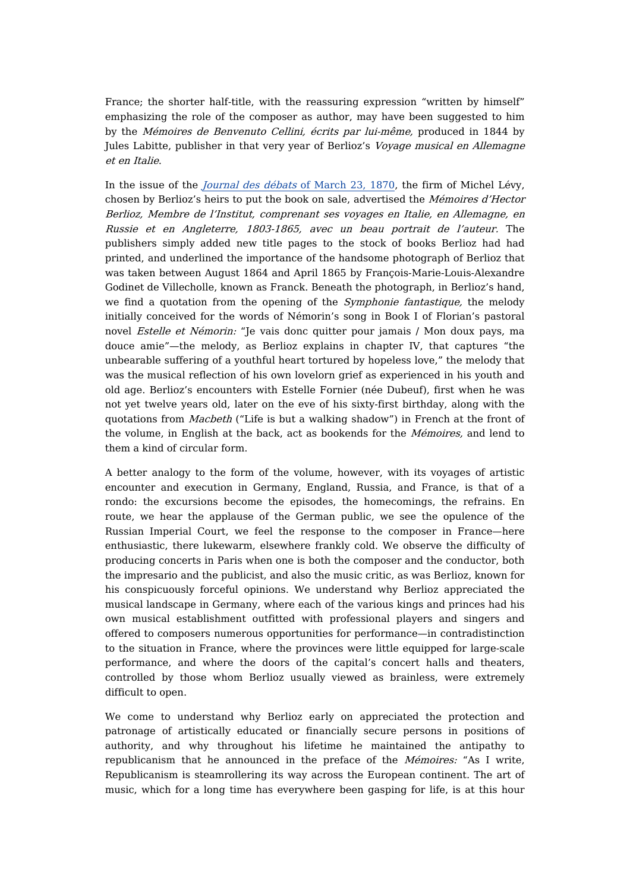France; the shorter half-title, with the reassuring expression "written by himself" emphasizing the role of the composer as author, may have been suggested to him by the Mémoires de Benvenuto Cellini, écrits par lui-même, produced in 1844 by Jules Labitte, publisher in that very year of Berlioz's *Voyage musical en Allemagne* et en Italie.

In the issue of the [Journal](https://gallica.bnf.fr/ark:/12148/bpt6k457547h/f4.item) des débats of March 23, 1870, the firm of Michel Lévy, chosen by Berlioz's heirs to put the book on sale, advertised the Mémoires d'Hector Berlioz, Membre de l'Institut, comprenant ses voyages en Italie, en Allemagne, en Russie et en Angleterre, 1803-1865, avec un beau portrait de l'auteur. The publishers simply added new title pages to the stock of books Berlioz had had printed, and underlined the importance of the handsome photograph of Berlioz that was taken between August 1864 and April 1865 by François-Marie-Louis-Alexandre Godinet de Villecholle, known as Franck. Beneath the photograph, in Berlioz's hand, we find a quotation from the opening of the Symphonie fantastique, the melody initially conceived for the words of Némorin's song in Book I of Florian's pastoral novel Estelle et Némorin: "Je vais donc quitter pour jamais / Mon doux pays, ma douce amie"—the melody, as Berlioz explains in chapter IV, that captures "the unbearable suffering of a youthful heart tortured by hopeless love," the melody that was the musical reflection of his own lovelorn grief as experienced in his youth and old age. Berlioz's encounters with Estelle Fornier (née Dubeuf), first when he was not yet twelve years old, later on the eve of his sixty-first birthday, along with the quotations from Macbeth ("Life is but a walking shadow") in French at the front of the volume, in English at the back, act as bookends for the *Mémoires*, and lend to them a kind of circular form.

A better analogy to the form of the volume, however, with its voyages of artistic encounter and execution in Germany, England, Russia, and France, is that of a rondo: the excursions become the episodes, the homecomings, the refrains. En route, we hear the applause of the German public, we see the opulence of the Russian Imperial Court, we feel the response to the composer in France—here enthusiastic, there lukewarm, elsewhere frankly cold. We observe the difficulty of producing concerts in Paris when one is both the composer and the conductor, both the impresario and the publicist, and also the music critic, as was Berlioz, known for his conspicuously forceful opinions. We understand why Berlioz appreciated the musical landscape in Germany, where each of the various kings and princes had his own musical establishment outfitted with professional players and singers and offered to composers numerous opportunities for performance—in contradistinction to the situation in France, where the provinces were little equipped for large-scale performance, and where the doors of the capital's concert halls and theaters, controlled by those whom Berlioz usually viewed as brainless, were extremely difficult to open.

We come to understand why Berlioz early on appreciated the protection and patronage of artistically educated or financially secure persons in positions of authority, and why throughout his lifetime he maintained the antipathy to republicanism that he announced in the preface of the *Mémoires:* "As I write, Republicanism is steamrollering its way across the European continent. The art of music, which for a long time has everywhere been gasping for life, is at this hour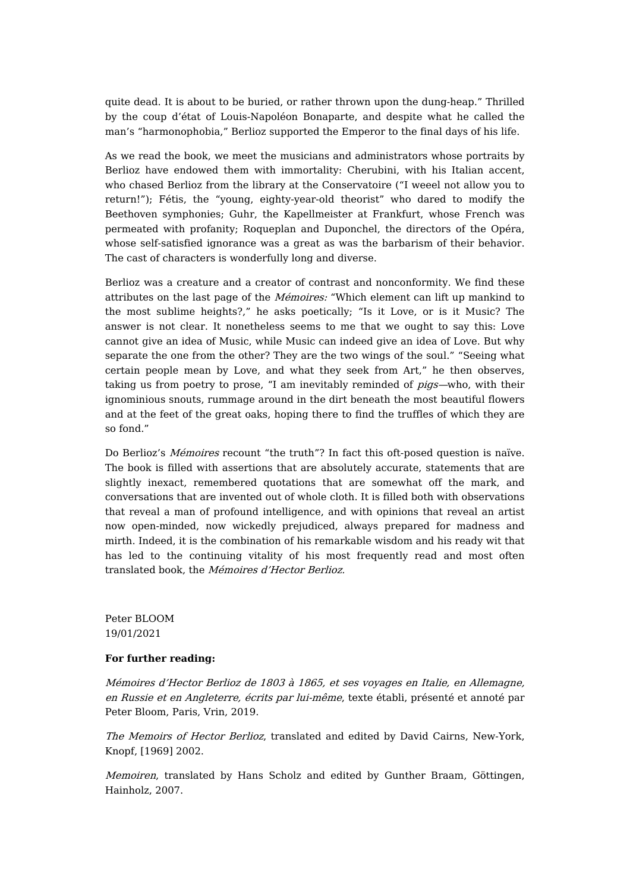quite dead. It is about to be buried, or rather thrown upon the dung-heap." Thrilled by the coup d'état of Louis-Napoléon Bonaparte, and despite what he called the man's "harmonophobia," Berlioz supported the Emperor to the final days of his life.

As we read the book, we meet the musicians and administrators whose portraits by Berlioz have endowed them with immortality: Cherubini, with his Italian accent, who chased Berlioz from the library at the Conservatoire ("I weeel not allow you to return!"); Fétis, the "young, eighty-year-old theorist" who dared to modify the Beethoven symphonies; Guhr, the Kapellmeister at Frankfurt, whose French was permeated with profanity; Roqueplan and Duponchel, the directors of the Opéra, whose self-satisfied ignorance was a great as was the barbarism of their behavior. The cast of characters is wonderfully long and diverse.

Berlioz was a creature and a creator of contrast and nonconformity. We find these attributes on the last page of the Mémoires: "Which element can lift up mankind to the most sublime heights?," he asks poetically; "Is it Love, or is it Music? The answer is not clear. It nonetheless seems to me that we ought to say this: Love cannot give an idea of Music, while Music can indeed give an idea of Love. But why separate the one from the other? They are the two wings of the soul." "Seeing what certain people mean by Love, and what they seek from Art," he then observes, taking us from poetry to prose, "I am inevitably reminded of pigs—who, with their ignominious snouts, rummage around in the dirt beneath the most beautiful flowers and at the feet of the great oaks, hoping there to find the truffles of which they are so fond."

Do Berlioz's Mémoires recount "the truth"? In fact this oft-posed question is naïve. The book is filled with assertions that are absolutely accurate, statements that are slightly inexact, remembered quotations that are somewhat off the mark, and conversations that are invented out of whole cloth. It is filled both with observations that reveal a man of profound intelligence, and with opinions that reveal an artist now open-minded, now wickedly prejudiced, always prepared for madness and mirth. Indeed, it is the combination of his remarkable wisdom and his ready wit that has led to the continuing vitality of his most frequently read and most often translated book, the Mémoires d'Hector Berlioz.

Peter BLOOM 19/01/2021

## **For further reading:**

Mémoires d'Hector Berlioz de 1803 à 1865, et ses voyages en Italie, en Allemagne, en Russie et en Angleterre, écrits par lui-même, texte établi, présenté et annoté par Peter Bloom, Paris, Vrin, 2019.

The Memoirs of Hector Berlioz, translated and edited by David Cairns, New-York, Knopf, [1969] 2002.

Memoiren, translated by Hans Scholz and edited by Gunther Braam, Göttingen, Hainholz, 2007.